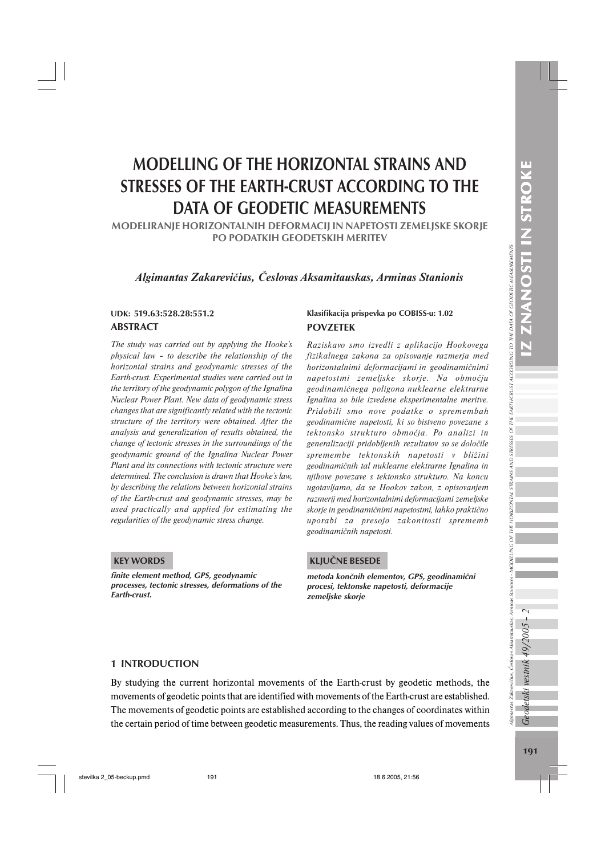Ngimantas Zakarevičius, Česlovas Aksamitauskas, Arminas Stanionis

Algimantas Zakarevičius, Česlovas Aksamitauskas, Arminas Stanionis - MODELLING OF THE HORIZONTAL STRAINS AND STRESSES OF THE EARTH-CRUST ACCORDING TO THE DATA OF GEODETIC MEASUREMENTS

## MODELLING OF THE HORIZONTAL STRAINS AND STRESSES OF THE EARTH-CRUST ACCORDING TO THE DATA OF GEODETIC MEASUREMENTS

MODELIRANJE HORIZONTALNIH DEFORMACIJ IN NAPETOSTI ZEMELJSKE SKORJE PO PODATKIH GEODETSKIH MERITEV

## *Algimantas Zakarevičius, Česlovas Aksamitauskas, Arminas Stanionis*

# ABSTRACT

*The study was carried out by applying the Hooke's physical law – to describe the relationship of the horizontal strains and geodynamic stresses of the Earth-crust. Experimental studies were carried out in the territory of the geodynamic polygon of the Ignalina Nuclear Power Plant. New data of geodynamic stress changes that are significantly related with the tectonic structure of the territory were obtained. After the analysis and generalization of results obtained, the change of tectonic stresses in the surroundings of the geodynamic ground of the Ignalina Nuclear Power Plant and its connections with tectonic structure were determined. The conclusion is drawn that Hooke's law, by describing the relations between horizontal strains of the Earth-crust and geodynamic stresses, may be used practically and applied for estimating the regularities of the geodynamic stress change.*

### KEY WORDS

finite element method, GPS, geodynamic processes, tectonic stresses, deformations of the Earth-crust.

#### UDK: 519.63:528.28:551.2 Klasifikacija prispevka po COBISS-u: 1.02 POVZETEK

*Raziskavo smo izvedli z aplikacijo Hookovega fizikalnega zakona za opisovanje razmerja med horizontalnimi deformacijami in geodinamičnimi napetostmi zemeljske skorje. Na območju geodinamičnega poligona nuklearne elektrarne Ignalina so bile izvedene eksperimentalne meritve. Pridobili smo nove podatke o spremembah geodinamične napetosti, ki so bistveno povezane s tektonsko strukturo območja. Po analizi in generalizaciji pridobljenih rezultatov so se določile spremembe tektonskih napetosti v bližini geodinamičnih tal nuklearne elektrarne Ignalina in njihove povezave s tektonsko strukturo. Na koncu ugotavljamo, da se Hookov zakon, z opisovanjem razmerij med horizontalnimi deformacijami zemeljske skorje in geodinamičnimi napetostmi, lahko praktično uporabi za presojo zakonitosti sprememb geodinamičnih napetosti.*

## KLJUČNE BESEDE

metoda končnih elementov, GPS, geodinamični procesi, tektonske napetosti, deformacije zemeljske skorje

### 1 INTRODUCTION

By studying the current horizontal movements of the Earth-crust by geodetic methods, the movements of geodetic points that are identified with movements of the Earth-crust are established. The movements of geodetic points are established according to the changes of coordinates within the certain period of time between geodetic measurements. Thus, the reading values of movements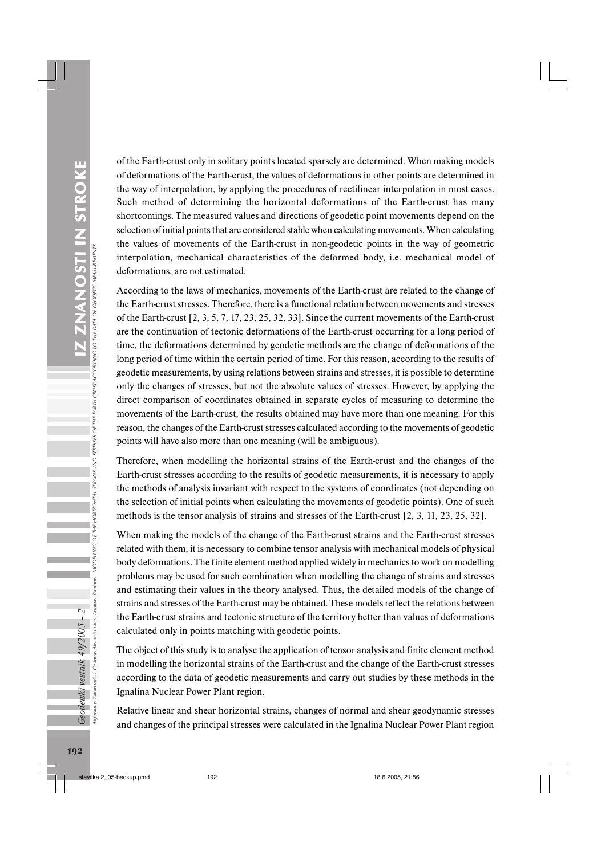of the Earth-crust only in solitary points located sparsely are determined. When making models of deformations of the Earth-crust, the values of deformations in other points are determined in the way of interpolation, by applying the procedures of rectilinear interpolation in most cases. Such method of determining the horizontal deformations of the Earth-crust has many shortcomings. The measured values and directions of geodetic point movements depend on the selection of initial points that are considered stable when calculating movements. When calculating the values of movements of the Earth-crust in non-geodetic points in the way of geometric interpolation, mechanical characteristics of the deformed body, i.e. mechanical model of deformations, are not estimated.

According to the laws of mechanics, movements of the Earth-crust are related to the change of the Earth-crust stresses. Therefore, there is a functional relation between movements and stresses of the Earth-crust [2, 3, 5, 7, 17, 23, 25, 32, 33]. Since the current movements of the Earth-crust are the continuation of tectonic deformations of the Earth-crust occurring for a long period of time, the deformations determined by geodetic methods are the change of deformations of the long period of time within the certain period of time. For this reason, according to the results of geodetic measurements, by using relations between strains and stresses, it is possible to determine only the changes of stresses, but not the absolute values of stresses. However, by applying the direct comparison of coordinates obtained in separate cycles of measuring to determine the movements of the Earth-crust, the results obtained may have more than one meaning. For this reason, the changes of the Earth-crust stresses calculated according to the movements of geodetic points will have also more than one meaning (will be ambiguous).

Therefore, when modelling the horizontal strains of the Earth-crust and the changes of the Earth-crust stresses according to the results of geodetic measurements, it is necessary to apply the methods of analysis invariant with respect to the systems of coordinates (not depending on the selection of initial points when calculating the movements of geodetic points). One of such methods is the tensor analysis of strains and stresses of the Earth-crust [2, 3, 11, 23, 25, 32].

When making the models of the change of the Earth-crust strains and the Earth-crust stresses related with them, it is necessary to combine tensor analysis with mechanical models of physical body deformations. The finite element method applied widely in mechanics to work on modelling problems may be used for such combination when modelling the change of strains and stresses and estimating their values in the theory analysed. Thus, the detailed models of the change of strains and stresses of the Earth-crust may be obtained. These models reflect the relations between the Earth-crust strains and tectonic structure of the territory better than values of deformations calculated only in points matching with geodetic points.

The object of this study is to analyse the application of tensor analysis and finite element method in modelling the horizontal strains of the Earth-crust and the change of the Earth-crust stresses according to the data of geodetic measurements and carry out studies by these methods in the Ignalina Nuclear Power Plant region.

Relative linear and shear horizontal strains, changes of normal and shear geodynamic stresses and changes of the principal stresses were calculated in the Ignalina Nuclear Power Plant region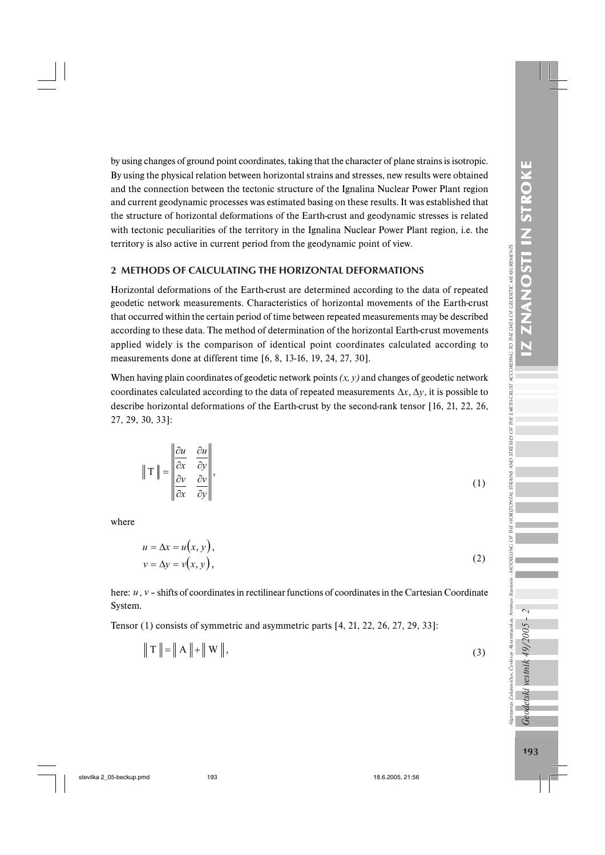by using changes of ground point coordinates, taking that the character of plane strains is isotropic. By using the physical relation between horizontal strains and stresses, new results were obtained and the connection between the tectonic structure of the Ignalina Nuclear Power Plant region and current geodynamic processes was estimated basing on these results. It was established that the structure of horizontal deformations of the Earth-crust and geodynamic stresses is related with tectonic peculiarities of the territory in the Ignalina Nuclear Power Plant region, i.e. the territory is also active in current period from the geodynamic point of view.

## 2 METHODS OF CALCULATING THE HORIZONTAL DEFORMATIONS

Horizontal deformations of the Earth-crust are determined according to the data of repeated geodetic network measurements. Characteristics of horizontal movements of the Earth-crust that occurred within the certain period of time between repeated measurements may be described according to these data. The method of determination of the horizontal Earth-crust movements applied widely is the comparison of identical point coordinates calculated according to measurements done at different time [6, 8, 13-16, 19, 24, 27, 30].

When having plain coordinates of geodetic network points  $(x, y)$  and changes of geodetic network coordinates calculated according to the data of repeated measurements  $\Delta x$ ,  $\Delta y$ , it is possible to describe horizontal deformations of the Earth-crust by the second-rank tensor [16, 21, 22, 26, 27, 29, 30, 33]:

$$
\|\mathbf{T}\| = \begin{vmatrix} \frac{\partial u}{\partial x} & \frac{\partial u}{\partial y} \\ \frac{\partial v}{\partial x} & \frac{\partial v}{\partial y} \end{vmatrix},
$$
 (1)

where

$$
u = \Delta x = u(x, y),
$$
  
\n
$$
v = \Delta y = v(x, y),
$$
\n(2)

here: *u*, *v* – shifts of coordinates in rectilinear functions of coordinates in the Cartesian Coordinate System.

Tensor (1) consists of symmetric and asymmetric parts [4, 21, 22, 26, 27, 29, 33]:

$$
\|T\| = \|A\| + \|W\|,\tag{3}
$$

Geodetski vestnik 49/2005

Ilgimantas Zakarevičius, Česlovas Aksamitauskas, Arminas Stanionis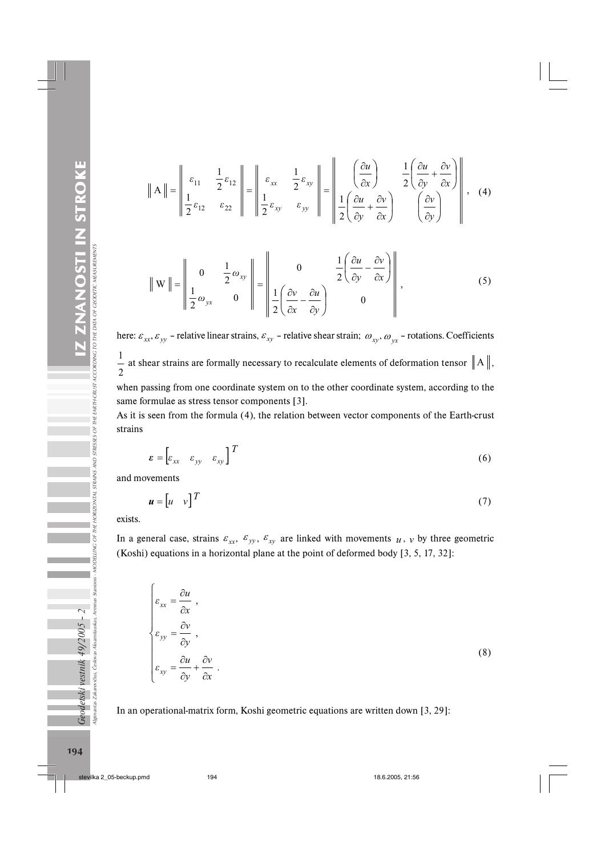$$
\|\mathbf{A}\| = \begin{vmatrix} \varepsilon_{11} & \frac{1}{2}\varepsilon_{12} \\ \frac{1}{2}\varepsilon_{12} & \varepsilon_{22} \end{vmatrix} = \begin{vmatrix} \varepsilon_{xx} & \frac{1}{2}\varepsilon_{xy} \\ \frac{1}{2}\varepsilon_{xy} & \varepsilon_{yy} \end{vmatrix} = \begin{vmatrix} \frac{\partial u}{\partial x} & \frac{1}{2} \left( \frac{\partial u}{\partial y} + \frac{\partial v}{\partial x} \right) \\ \frac{1}{2} \left( \frac{\partial u}{\partial y} + \frac{\partial v}{\partial x} \right) & \left( \frac{\partial v}{\partial y} \right) \end{vmatrix}, \quad (4)
$$

 $\mathbf{H}$ 

 $\sim$  11

$$
\|\mathbf{W}\| = \left\|\begin{array}{ccc} 0 & \frac{1}{2}\omega_{xy} \\ \frac{1}{2}\omega_{yx} & 0 \end{array}\right\| = \left\|\begin{array}{ccc} 0 & \frac{1}{2}\left(\frac{\partial u}{\partial y} - \frac{\partial v}{\partial x}\right) \\ \frac{1}{2}\left(\frac{\partial v}{\partial x} - \frac{\partial u}{\partial y}\right) & 0 \end{array}\right\|,\tag{5}
$$

here:  $\varepsilon_{xx}$ ,  $\varepsilon_{yy}$  – relative linear strains,  $\varepsilon_{xy}$  – relative shear strain;  $\omega_{xy}$ ,  $\omega_{yx}$  – rotations. Coefficients 2  $\frac{1}{1}$  at shear strains are formally necessary to recalculate elements of deformation tensor  $\|A\|$ ,

when passing from one coordinate system on to the other coordinate system, according to the same formulae as stress tensor components [3].

As it is seen from the formula (4), the relation between vector components of the Earth-crust strains

$$
\boldsymbol{\varepsilon} = \begin{bmatrix} \varepsilon_{xx} & \varepsilon_{yy} & \varepsilon_{xy} \end{bmatrix}^T \tag{6}
$$

and movements

$$
\mathbf{u} = \begin{bmatrix} u & v \end{bmatrix}^T \tag{7}
$$

exists.

In a general case, strains  $\varepsilon_{xx}$ ,  $\varepsilon_{yy}$ ,  $\varepsilon_{xy}$  are linked with movements *u*, *v* by three geometric (Koshi) equations in a horizontal plane at the point of deformed body [3, 5, 17, 32]:

$$
\begin{cases}\n\varepsilon_{xx} = \frac{\partial u}{\partial x}, \\
\varepsilon_{yy} = \frac{\partial v}{\partial y}, \\
\varepsilon_{xy} = \frac{\partial u}{\partial y} + \frac{\partial v}{\partial x}.\n\end{cases}
$$
\n(8)

In an operational-matrix form, Koshi geometric equations are written down [3, 29]: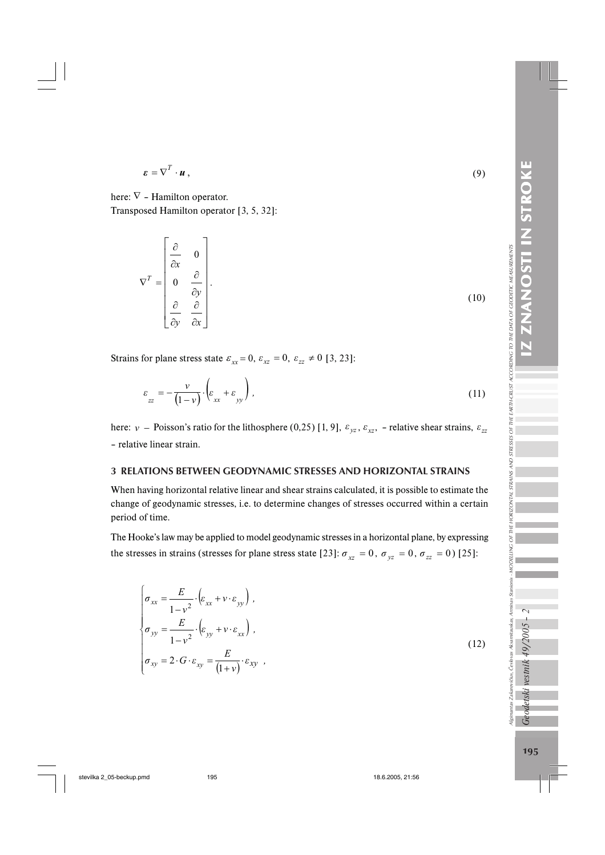lgimantas Zakarevčius, Čestovas Akamitauskas, Aminas Stanionis - MODELLING OF THE DATAS STAND STRESSES OF THE ENRTH-CRUST ACCORDING TO THE DATA OF GEODETIC MEASUREMENTS

$$
\boldsymbol{\varepsilon} = \nabla^T \cdot \boldsymbol{u} \,, \tag{9}
$$

here:  $\nabla$  - Hamilton operator. Transposed Hamilton operator [3, 5, 32]:

$$
\nabla^{T} = \begin{bmatrix} \frac{\partial}{\partial x} & 0 \\ 0 & \frac{\partial}{\partial y} \\ \frac{\partial}{\partial y} & \frac{\partial}{\partial x} \end{bmatrix}.
$$
 (10)

Strains for plane stress state  $\varepsilon_{xx} = 0$ ,  $\varepsilon_{xz} = 0$ ,  $\varepsilon_{zz} \neq 0$  [3, 23]:

$$
\varepsilon_{zz} = -\frac{v}{(1-v)} \cdot \left( \varepsilon_{xx} + \varepsilon_{yy} \right),\tag{11}
$$

here: *ν* − Poisson's ratio for the lithosphere (0,25) [1, 9],  $\varepsilon_{yz}$ ,  $\varepsilon_{xz}$ , – relative shear strains,  $\varepsilon_{zz}$ – relative linear strain.

## 3 RELATIONS BETWEEN GEODYNAMIC STRESSES AND HORIZONTAL STRAINS

When having horizontal relative linear and shear strains calculated, it is possible to estimate the change of geodynamic stresses, i.e. to determine changes of stresses occurred within a certain period of time.

The Hooke's law may be applied to model geodynamic stresses in a horizontal plane, by expressing the stresses in strains (stresses for plane stress state [23]:  $\sigma_{xz} = 0$ ,  $\sigma_{yz} = 0$ ,  $\sigma_{zz} = 0$ ) [25]:

$$
\begin{cases}\n\sigma_{xx} = \frac{E}{1 - v^2} \cdot \left( \varepsilon_{xx} + v \cdot \varepsilon_{yy} \right), \\
\sigma_{yy} = \frac{E}{1 - v^2} \cdot \left( \varepsilon_{yy} + v \cdot \varepsilon_{xx} \right), \\
\sigma_{xy} = 2 \cdot G \cdot \varepsilon_{xy} = \frac{E}{(1 + v)} \cdot \varepsilon_{xy} ,\n\end{cases}
$$
\n(12)

195

.<br>Geodetski vestnik 49/2005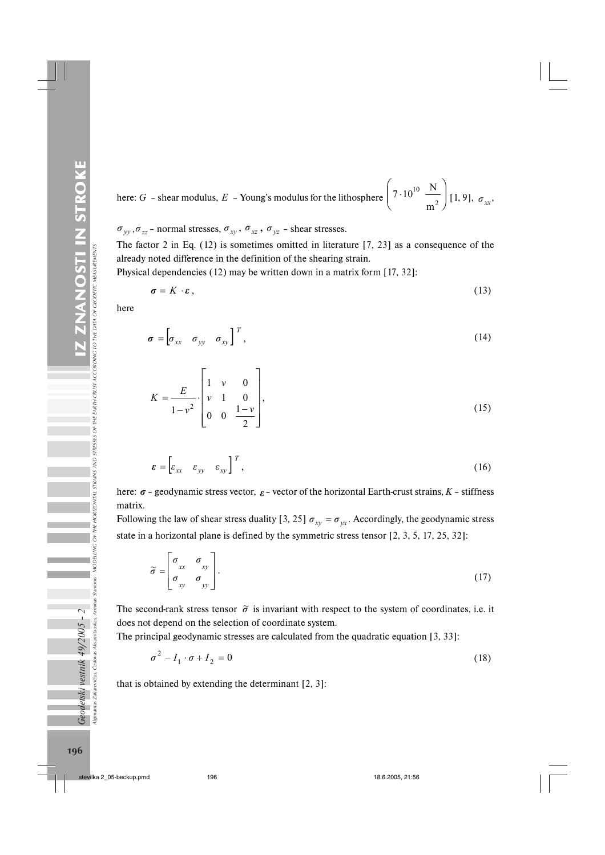here: *G* – shear modulus, *E* – Young's modulus for the lithosphere  $\left(7 \cdot 10^{10} \frac{18}{\epsilon^2}\right)$  $\overline{\phantom{a}}$ ·  $\mid$  $\left(7 \cdot 10^{10} \frac{\text{N}}{\text{m}^2}\right)$ m  $7 \cdot 10^{10} \frac{\text{N}}{\text{m}^2}$  [1, 9],  $\sigma_{xx}$ ,

 $\sigma_{yy}$ ,  $\sigma_{zz}$  – normal stresses,  $\sigma_{xy}$ ,  $\sigma_{xz}$ ,  $\sigma_{yz}$  – shear stresses.

The factor 2 in Eq. (12) is sometimes omitted in literature [7, 23] as a consequence of the already noted difference in the definition of the shearing strain.

Physical dependencies (12) may be written down in a matrix form [17, 32]:

$$
\sigma = K \cdot \varepsilon, \tag{13}
$$

here

$$
\boldsymbol{\sigma} = \begin{bmatrix} \sigma_{xx} & \sigma_{yy} & \sigma_{xy} \end{bmatrix}^T, \tag{14}
$$

$$
K = \frac{E}{1 - v^2} \cdot \begin{bmatrix} 1 & v & 0 \\ v & 1 & 0 \\ 0 & 0 & \frac{1 - v}{2} \end{bmatrix},
$$
 (15)

$$
\boldsymbol{\varepsilon} = \begin{bmatrix} \varepsilon_{xx} & \varepsilon_{yy} & \varepsilon_{xy} \end{bmatrix}^T,\tag{16}
$$

here:  $\sigma$  – geodynamic stress vector,  $\epsilon$  – vector of the horizontal Earth-crust strains,  $K$  – stiffness matrix.

Following the law of shear stress duality [3, 25]  $\sigma_{xy} = \sigma_{yx}$ . Accordingly, the geodynamic stress state in a horizontal plane is defined by the symmetric stress tensor [2, 3, 5, 17, 25, 32]:

$$
\widetilde{\sigma} = \begin{bmatrix} \sigma_{xx} & \sigma_{xy} \\ \sigma_{xy} & \sigma_{yy} \end{bmatrix} . \tag{17}
$$

The second-rank stress tensor  $\tilde{\sigma}$  is invariant with respect to the system of coordinates, i.e. it does not depend on the selection of coordinate system.

The principal geodynamic stresses are calculated from the quadratic equation [3, 33]:

$$
\sigma^2 - I_1 \cdot \sigma + I_2 = 0 \tag{18}
$$

that is obtained by extending the determinant [2, 3]: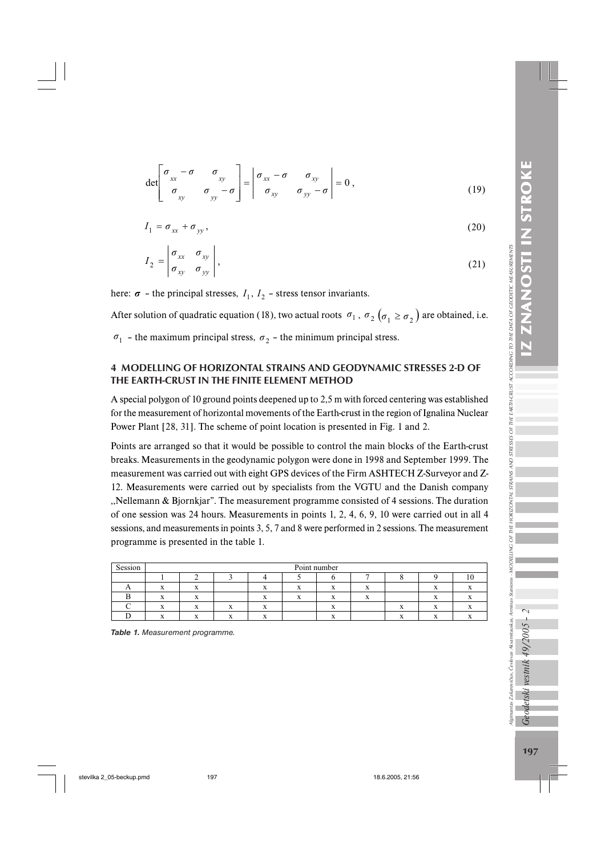Ilgimantas Zakarevičius, Česlovas Aksamitauskas, Arminas Stanioni

Geodetski vestnik 49/2005

$$
\det \begin{bmatrix} \sigma_{xx} - \sigma & \sigma_{xy} \\ \sigma_{xy} & \sigma_{yy} - \sigma \end{bmatrix} = \begin{vmatrix} \sigma_{xx} - \sigma & \sigma_{xy} \\ \sigma_{xy} & \sigma_{yy} - \sigma \end{vmatrix} = 0, \qquad (19)
$$

$$
I_1 = \sigma_{xx} + \sigma_{yy},\tag{20}
$$

$$
I_2 = \begin{vmatrix} \sigma_{xx} & \sigma_{xy} \\ \sigma_{xy} & \sigma_{yy} \end{vmatrix},
$$
 (21)

here:  $\sigma$  – the principal stresses,  $I_1$ ,  $I_2$  – stress tensor invariants.

After solution of quadratic equation (18), two actual roots  $\sigma_1$ ,  $\sigma_2$  ( $\sigma_1 \ge \sigma_2$ ) are obtained, i.e.

 $\sigma_1$  – the maximum principal stress,  $\sigma_2$  – the minimum principal stress.

## 4 MODELLING OF HORIZONTAL STRAINS AND GEODYNAMIC STRESSES 2-D OF THE EARTH-CRUST IN THE FINITE ELEMENT METHOD

A special polygon of 10 ground points deepened up to 2,5 m with forced centering was established for the measurement of horizontal movements of the Earth-crust in the region of Ignalina Nuclear Power Plant [28, 31]. The scheme of point location is presented in Fig. 1 and 2.

Points are arranged so that it would be possible to control the main blocks of the Earth-crust breaks. Measurements in the geodynamic polygon were done in 1998 and September 1999. The measurement was carried out with eight GPS devices of the Firm ASHTECH Z-Surveyor and Z-12. Measurements were carried out by specialists from the VGTU and the Danish company ,,Nellemann & Bjornkjar". The measurement programme consisted of 4 sessions. The duration of one session was 24 hours. Measurements in points 1, 2, 4, 6, 9, 10 were carried out in all 4 sessions, and measurements in points 3, 5, 7 and 8 were performed in 2 sessions. The measurement programme is presented in the table 1.

| Session | Point number |  |  |  |  |  |  |  |  |   |  |
|---------|--------------|--|--|--|--|--|--|--|--|---|--|
|         |              |  |  |  |  |  |  |  |  | v |  |
| . .     |              |  |  |  |  |  |  |  |  |   |  |
|         |              |  |  |  |  |  |  |  |  |   |  |
|         |              |  |  |  |  |  |  |  |  |   |  |
|         |              |  |  |  |  |  |  |  |  |   |  |

*Table 1. Measurement programme.*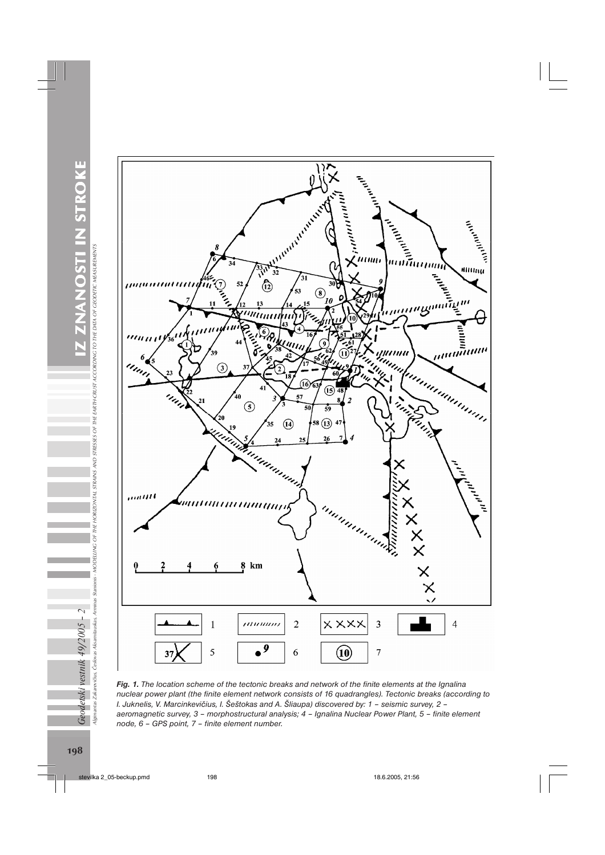ZNANOSTI IN STROKE *Geodetski vestnik 49/2005 – 2* IZ ZNANOSTI IN STROKE  $\overline{Geodetski}$ vestnik 49/2005 – 2 $\overline{111}$ M $\overline{SS11}$ M $\overline{SS200}$ anions - морешно от тне новігомил straus мо stresses of the entrierist according to the data of economic messurements Algimantas Zakarevičius, Česlovas Aksamitauskas, Arminas Stanionis - MODELLING OF THE HORIZONTAL STRAINS AND STRESSES OF THE EA

RTH-CRUST ACCORDING TO THE DATA OF GEODETIC MEASUREMENTS



*Fig. 1. The location scheme of the tectonic breaks and network of the finite elements at the Ignalina nuclear power plant (the finite element network consists of 16 quadrangles). Tectonic breaks (according to I. Juknelis, V. Marcinkevičius, I. Šeštokas and A. Šliaupa) discovered by: 1 – seismic survey, 2 – aeromagnetic survey, 3 – morphostructural analysis; 4 – Ignalina Nuclear Power Plant, 5 – finite element node, 6 – GPS point, 7 – finite element number.*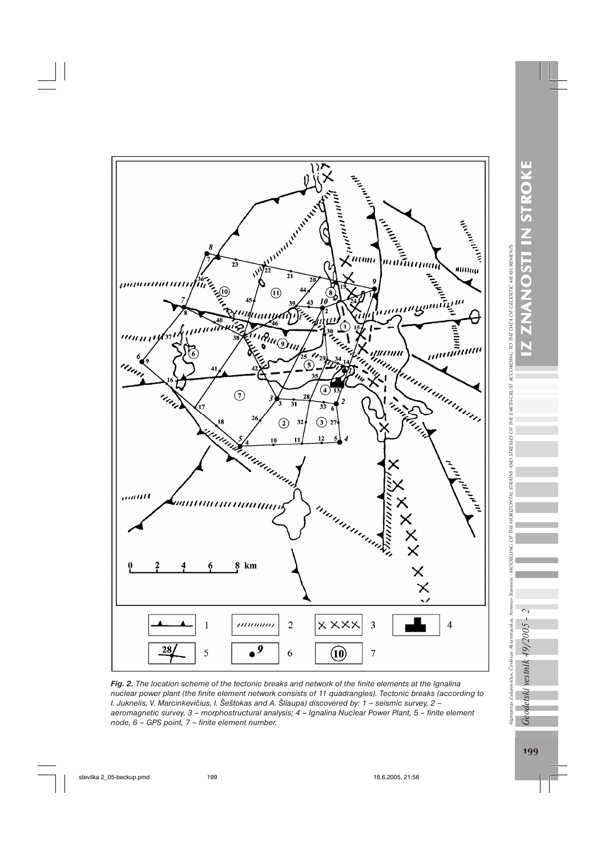

*Fig. 2. The location scheme of the tectonic breaks and network of the finite elements at the Ignalina nuclear power plant (the finite element network consists of 11 quadrangles). Tectonic breaks (according to I. Juknelis, V. Marcinkevičius, I. Šeštokas and A. Šliaupa) discovered by: 1 – seismic survey, 2 – aeromagnetic survey, 3 – morphostructural analysis; 4 – Ignalina Nuclear Power Plant, 5 – finite element node, 6 – GPS point, 7 – finite element number.*

Algimantas Zakarevičius, Česlovas Aksamitauskas, Arminas Stanionis

Geodetski vestnik 49/2005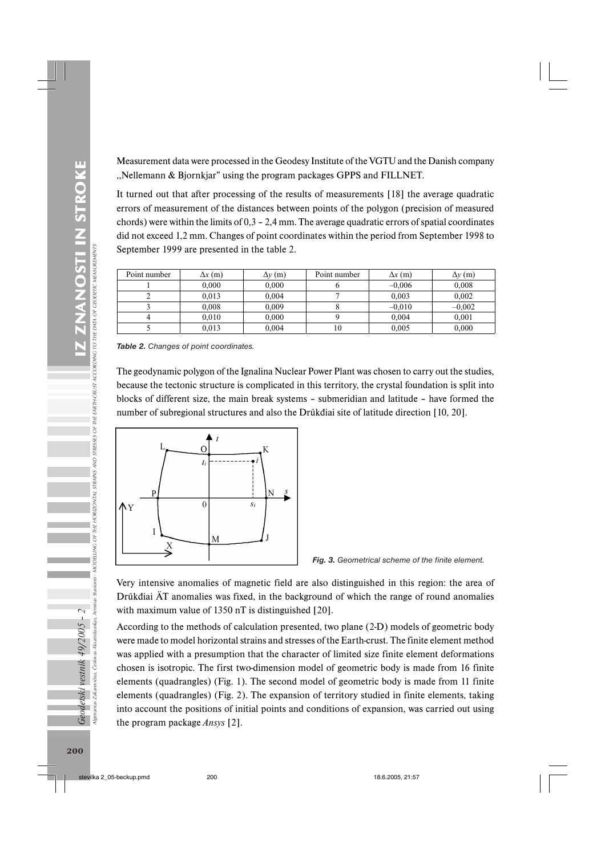Measurement data were processed in the Geodesy Institute of the VGTU and the Danish company ,,Nellemann & Bjornkjar" using the program packages GPPS and FILLNET.

It turned out that after processing of the results of measurements [18] the average quadratic errors of measurement of the distances between points of the polygon (precision of measured chords) were within the limits of  $0,3 - 2,4$  mm. The average quadratic errors of spatial coordinates did not exceed 1,2 mm. Changes of point coordinates within the period from September 1998 to September 1999 are presented in the table 2.

| Point number | $\Delta x$ (m) | $\Delta y$ (m) | Point number | $\Delta x$ (m) | $\Delta v$ (m) |
|--------------|----------------|----------------|--------------|----------------|----------------|
|              | 0.000          | 0.000          |              | $-0.006$       | 0.008          |
|              | 0.013          | 0.004          |              | 0.003          | 0.002          |
|              | 0.008          | 0.009          |              | $-0.010$       | $-0.002$       |
|              | 0.010          | 0.000          |              | 0,004          | 0.001          |
|              | 0.013          | 0.004          | 10           | 0,005          | 0.000          |

*Table 2. Changes of point coordinates.*

The geodynamic polygon of the Ignalina Nuclear Power Plant was chosen to carry out the studies, because the tectonic structure is complicated in this territory, the crystal foundation is split into blocks of different size, the main break systems – submeridian and latitude – have formed the number of subregional structures and also the Drűkđiai site of latitude direction [10, 20].





Very intensive anomalies of magnetic field are also distinguished in this region: the area of Drűkđiai ÄT anomalies was fixed, in the background of which the range of round anomalies with maximum value of 1350 nT is distinguished [20].

According to the methods of calculation presented, two plane (2-D) models of geometric body were made to model horizontal strains and stresses of the Earth-crust. The finite element method was applied with a presumption that the character of limited size finite element deformations chosen is isotropic. The first two-dimension model of geometric body is made from 16 finite elements (quadrangles) (Fig. 1). The second model of geometric body is made from 11 finite elements (quadrangles) (Fig. 2). The expansion of territory studied in finite elements, taking into account the positions of initial points and conditions of expansion, was carried out using the program package *Ansys* [2].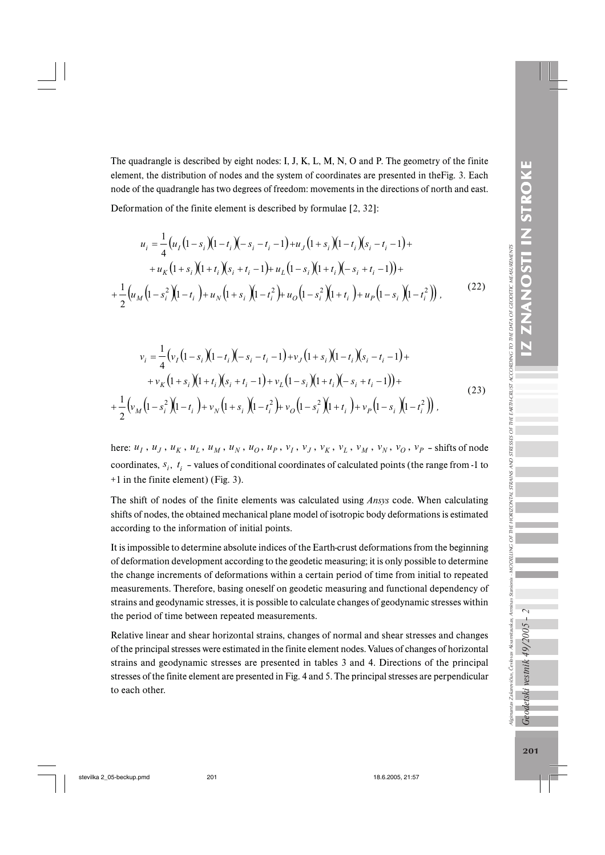Ilgimantas Zakarevičius, Česlovas Aksamitauskas, Arminas Stanionis

Geodetski vestnik 49/2005

. MODELING OF THE HORIZONTAL STRAINS AND STRESSES OF THE EARTH-CRUST ACCORDING TO THE DATA OF GEODETIC MEASUREMENTS

The quadrangle is described by eight nodes: I, J, K, L, M, N, O and P. The geometry of the finite element, the distribution of nodes and the system of coordinates are presented in theFig. 3. Each node of the quadrangle has two degrees of freedom: movements in the directions of north and east.

Deformation of the finite element is described by formulae [2, 32]:

$$
u_{i} = \frac{1}{4} \left( u_{I} \left( 1 - s_{i} \right) \left( 1 - t_{i} \right) \left( - s_{i} - t_{i} - 1 \right) + u_{J} \left( 1 + s_{i} \right) \left( 1 - t_{i} \right) \left( s_{i} - t_{i} - 1 \right) + u_{K} \left( 1 + s_{i} \right) \left( 1 + t_{i} \right) \left( s_{i} + t_{i} - 1 \right) + u_{L} \left( 1 - s_{i} \right) \left( 1 + t_{i} \right) \left( - s_{i} + t_{i} - 1 \right) \right) + \frac{1}{2} \left( u_{M} \left( 1 - s_{i}^{2} \right) \left( 1 - t_{i} \right) + u_{N} \left( 1 + s_{i} \right) \left( 1 - t_{i}^{2} \right) + u_{O} \left( 1 - s_{i}^{2} \right) \left( 1 + t_{i} \right) + u_{P} \left( 1 - s_{i} \right) \left( 1 - t_{i}^{2} \right) \right),
$$
\n(22)

$$
v_i = \frac{1}{4} \Big( v_I \Big( 1 - s_i \Big) \Big( 1 - t_i \Big) \Big( - s_i - t_i - 1 \Big) + v_J \Big( 1 + s_i \Big) \Big( 1 - t_i \Big) \Big( s_i - t_i - 1 \Big) +
$$
  
+ 
$$
v_K \Big( 1 + s_i \Big) \Big( 1 + t_i \Big) \Big( s_i + t_i - 1 \Big) + v_L \Big( 1 - s_i \Big) \Big( 1 + t_i \Big) \Big( - s_i + t_i - 1 \Big) \Big) +
$$
  
+ 
$$
\frac{1}{2} \Big( v_M \Big( 1 - s_i^2 \Big) \Big( 1 - t_i \Big) + v_N \Big( 1 + s_i \Big) \Big( 1 - t_i^2 \Big) + v_O \Big( 1 - s_i^2 \Big) \Big( 1 + t_i \Big) + v_P \Big( 1 - s_i \Big) \Big( 1 - t_i^2 \Big) \Big) ,
$$
  
(23)

here:  $u_1$ ,  $u_2$ ,  $u_k$ ,  $u_k$ ,  $u_M$ ,  $u_N$ ,  $u_O$ ,  $u_P$ ,  $v_I$ ,  $v_J$ ,  $v_K$ ,  $v_L$ ,  $v_M$ ,  $v_N$ ,  $v_O$ ,  $v_P$  -shifts of node coordinates,  $s_i$ ,  $t_i$  – values of conditional coordinates of calculated points (the range from -1 to +1 in the finite element) (Fig. 3).

The shift of nodes of the finite elements was calculated using *Ansys* code. When calculating shifts of nodes, the obtained mechanical plane model of isotropic body deformations is estimated according to the information of initial points.

It is impossible to determine absolute indices of the Earth-crust deformations from the beginning of deformation development according to the geodetic measuring; it is only possible to determine the change increments of deformations within a certain period of time from initial to repeated measurements. Therefore, basing oneself on geodetic measuring and functional dependency of strains and geodynamic stresses, it is possible to calculate changes of geodynamic stresses within the period of time between repeated measurements.

Relative linear and shear horizontal strains, changes of normal and shear stresses and changes of the principal stresses were estimated in the finite element nodes. Values of changes of horizontal strains and geodynamic stresses are presented in tables 3 and 4. Directions of the principal stresses of the finite element are presented in Fig. 4 and 5. The principal stresses are perpendicular to each other.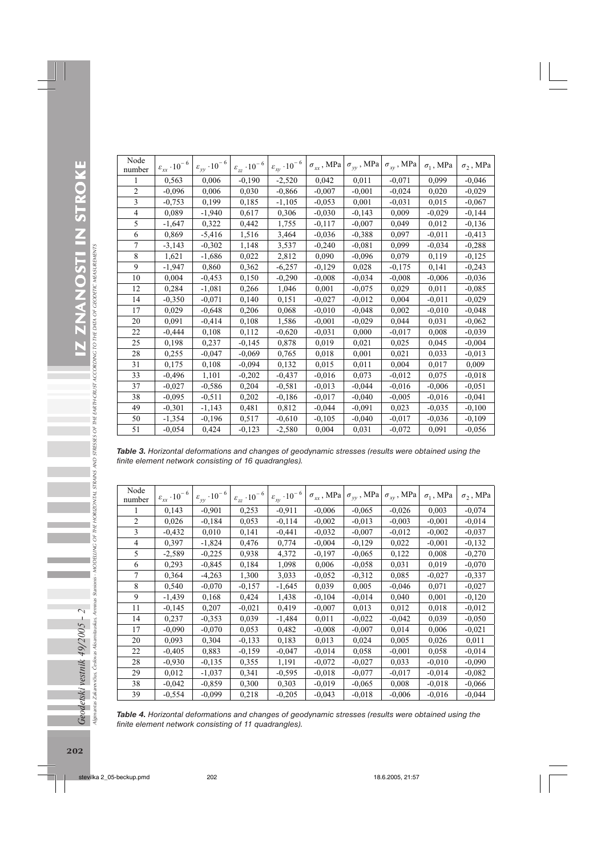| Node<br>number | $\varepsilon_{xx} \cdot 10^{-6}$ | $\varepsilon_{yy} \cdot 10^{-6}$ | $\varepsilon_{zz} \cdot 10^{-\,6}$ | $\varepsilon_{\text{xy}}\cdot 10^{-6}$ | $\sigma_{xx}$ , MPa | $\sigma_{\mathit{y} \mathit{y}}$ , MPa | $\sigma_{_{X\!V}}$ , MPa | $\sigma_1$ , MPa | $\sigma$ <sub>2</sub> , MPa |
|----------------|----------------------------------|----------------------------------|------------------------------------|----------------------------------------|---------------------|----------------------------------------|--------------------------|------------------|-----------------------------|
| 1              | 0.563                            | 0.006                            | $-0,190$                           | $-2,520$                               | 0,042               | 0,011                                  | $-0,071$                 | 0,099            | $-0,046$                    |
| $\overline{2}$ | $-0.096$                         | 0,006                            | 0.030                              | $-0.866$                               | $-0,007$            | $-0.001$                               | $-0.024$                 | 0,020            | $-0,029$                    |
| 3              | $-0.753$                         | 0,199                            | 0,185                              | $-1,105$                               | $-0.053$            | 0,001                                  | $-0.031$                 | 0,015            | $-0.067$                    |
| $\overline{4}$ | 0.089                            | $-1,940$                         | 0,617                              | 0,306                                  | $-0,030$            | $-0.143$                               | 0,009                    | $-0,029$         | $-0,144$                    |
| 5              | $-1,647$                         | 0,322                            | 0,442                              | 1,755                                  | $-0.117$            | $-0,007$                               | 0,049                    | 0,012            | $-0,136$                    |
| 6              | 0.869                            | $-5,416$                         | 1,516                              | 3,464                                  | $-0,036$            | $-0,388$                               | 0,097                    | $-0,011$         | $-0.413$                    |
| $\overline{7}$ | $-3,143$                         | $-0,302$                         | 1,148                              | 3,537                                  | $-0,240$            | $-0,081$                               | 0,099                    | $-0,034$         | $-0,288$                    |
| 8              | 1,621                            | $-1,686$                         | 0,022                              | 2,812                                  | 0,090               | $-0,096$                               | 0,079                    | 0,119            | $-0,125$                    |
| 9              | $-1,947$                         | 0,860                            | 0,362                              | $-6,257$                               | $-0,129$            | 0,028                                  | $-0,175$                 | 0,141            | $-0,243$                    |
| 10             | 0.004                            | $-0,453$                         | 0,150                              | $-0,290$                               | $-0,008$            | $-0,034$                               | $-0,008$                 | $-0,006$         | $-0,036$                    |
| 12             | 0.284                            | $-1,081$                         | 0,266                              | 1,046                                  | 0,001               | $-0.075$                               | 0,029                    | 0,011            | $-0.085$                    |
| 14             | $-0,350$                         | $-0.071$                         | 0,140                              | 0.151                                  | $-0.027$            | $-0.012$                               | 0,004                    | $-0,011$         | $-0,029$                    |
| 17             | 0,029                            | $-0,648$                         | 0,206                              | 0,068                                  | $-0,010$            | $-0,048$                               | 0,002                    | $-0,010$         | $-0.048$                    |
| 20             | 0,091                            | $-0,414$                         | 0,108                              | 1,586                                  | $-0,001$            | $-0,029$                               | 0,044                    | 0,031            | $-0,062$                    |
| 22             | $-0,444$                         | 0.108                            | 0.112                              | $-0,620$                               | $-0.031$            | 0,000                                  | $-0.017$                 | 0,008            | $-0.039$                    |
| 25             | 0.198                            | 0,237                            | $-0,145$                           | 0,878                                  | 0,019               | 0,021                                  | 0,025                    | 0,045            | $-0,004$                    |
| 28             | 0,255                            | $-0,047$                         | $-0,069$                           | 0,765                                  | 0,018               | 0,001                                  | 0,021                    | 0,033            | $-0.013$                    |
| 31             | 0,175                            | 0,108                            | $-0.094$                           | 0,132                                  | 0,015               | 0,011                                  | 0,004                    | 0,017            | 0,009                       |
| 33             | $-0,496$                         | 1,101                            | $-0,202$                           | $-0,437$                               | $-0,016$            | 0,073                                  | $-0,012$                 | 0,075            | $-0.018$                    |
| 37             | $-0,027$                         | $-0,586$                         | 0,204                              | $-0,581$                               | $-0.013$            | $-0,044$                               | $-0,016$                 | $-0,006$         | $-0,051$                    |
| 38             | $-0.095$                         | $-0.511$                         | 0,202                              | $-0,186$                               | $-0.017$            | $-0,040$                               | $-0,005$                 | $-0.016$         | $-0.041$                    |
| 49             | $-0,301$                         | $-1,143$                         | 0,481                              | 0,812                                  | $-0,044$            | $-0.091$                               | 0,023                    | $-0,035$         | $-0,100$                    |
| 50             | $-1,354$                         | $-0,196$                         | 0,517                              | $-0.610$                               | $-0,105$            | $-0,040$                               | $-0.017$                 | $-0.036$         | $-0,109$                    |
| 51             | $-0,054$                         | 0,424                            | $-0,123$                           | $-2,580$                               | 0,004               | 0,031                                  | $-0,072$                 | 0,091            | $-0.056$                    |

*Table 3. Horizontal deformations and changes of geodynamic stresses (results were obtained using the finite element network consisting of 16 quadrangles).*

| Node<br>number | $\varepsilon_{xx} \cdot 10^{-6}$ | $\varepsilon_{yy} \cdot 10^{-6}$ | $\varepsilon_{zz}\cdot 10^{-\,6}$ l | $\varepsilon_{xy} \cdot 10^{-6}$ | $\sigma_{xx}$ , MPa | $\sigma_{_{\it YV}}$ , MPa | $\sigma_{\textit{xy}}$ , MPa | $\sigma_1$ , MPa | $\sigma_2$ , MPa |
|----------------|----------------------------------|----------------------------------|-------------------------------------|----------------------------------|---------------------|----------------------------|------------------------------|------------------|------------------|
|                | 0.143                            | $-0.901$                         | 0,253                               | $-0.911$                         | $-0.006$            | $-0.065$                   | $-0.026$                     | 0.003            | $-0.074$         |
| $\overline{c}$ | 0,026                            | $-0,184$                         | 0.053                               | $-0.114$                         | $-0.002$            | $-0.013$                   | $-0,003$                     | $-0,001$         | $-0.014$         |
| 3              | $-0,432$                         | 0.010                            | 0,141                               | $-0,441$                         | $-0.032$            | $-0.007$                   | $-0,012$                     | $-0,002$         | $-0,037$         |
| 4              | 0.397                            | $-1,824$                         | 0.476                               | 0.774                            | $-0.004$            | $-0,129$                   | 0.022                        | $-0,001$         | $-0,132$         |
| 5              | $-2,589$                         | $-0,225$                         | 0,938                               | 4,372                            | $-0,197$            | $-0.065$                   | 0,122                        | 0,008            | $-0,270$         |
| 6              | 0,293                            | $-0,845$                         | 0.184                               | 1,098                            | 0,006               | $-0.058$                   | 0,031                        | 0.019            | $-0.070$         |
| 7              | 0,364                            | $-4,263$                         | 1,300                               | 3,033                            | $-0.052$            | $-0,312$                   | 0.085                        | $-0.027$         | $-0.337$         |
| 8              | 0,540                            | $-0.070$                         | $-0.157$                            | $-1,645$                         | 0,039               | 0,005                      | $-0,046$                     | 0,071            | $-0,027$         |
| 9              | $-1,439$                         | 0.168                            | 0.424                               | 1,438                            | $-0,104$            | $-0.014$                   | 0,040                        | 0,001            | $-0,120$         |
| 11             | $-0,145$                         | 0,207                            | $-0.021$                            | 0.419                            | $-0,007$            | 0,013                      | 0.012                        | 0.018            | $-0.012$         |
| 14             | 0,237                            | $-0.353$                         | 0.039                               | $-1,484$                         | 0,011               | $-0,022$                   | $-0,042$                     | 0.039            | $-0,050$         |
| 17             | $-0.090$                         | $-0.070$                         | 0.053                               | 0.482                            | $-0,008$            | $-0,007$                   | 0.014                        | 0,006            | $-0,021$         |
| 20             | 0.093                            | 0,304                            | $-0.133$                            | 0.183                            | 0,013               | 0,024                      | 0.005                        | 0,026            | 0,011            |
| 22             | $-0,405$                         | 0.883                            | $-0.159$                            | $-0.047$                         | $-0.014$            | 0,058                      | $-0,001$                     | 0.058            | $-0.014$         |
| 28             | $-0.930$                         | $-0,135$                         | 0,355                               | 1,191                            | $-0.072$            | $-0,027$                   | 0,033                        | $-0.010$         | $-0,090$         |
| 29             | 0,012                            | $-1,037$                         | 0.341                               | $-0,595$                         | $-0.018$            | $-0.077$                   | $-0.017$                     | $-0.014$         | $-0,082$         |
| 38             | $-0,042$                         | $-0.859$                         | 0,300                               | 0.303                            | $-0.019$            | $-0,065$                   | 0,008                        | $-0.018$         | $-0,066$         |
| 39             | $-0,554$                         | $-0.099$                         | 0,218                               | $-0,205$                         | $-0,043$            | $-0.018$                   | $-0.006$                     | $-0.016$         | $-0,044$         |

*Table 4. Horizontal deformations and changes of geodynamic stresses (results were obtained using the finite element network consisting of 11 quadrangles).*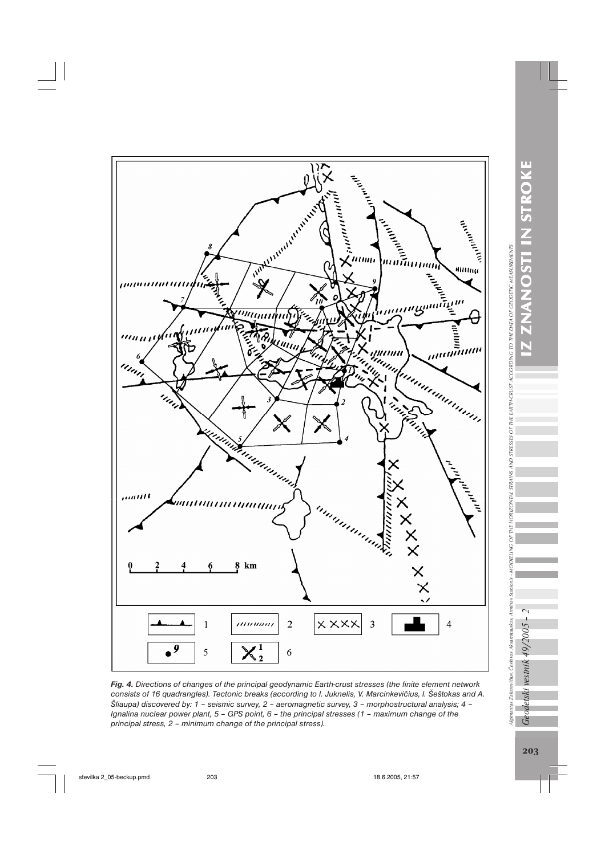

*Fig. 4. Directions of changes of the principal geodynamic Earth-crust stresses (the finite element network consists of 16 quadrangles). Tectonic breaks (according to I. Juknelis, V. Marcinkevičius, I. Šeštokas and A. Šliaupa) discovered by: 1 – seismic survey, 2 – aeromagnetic survey, 3 – morphostructural analysis; 4 – Ignalina nuclear power plant, 5 – GPS point, 6 – the principal stresses (1 – maximum change of the principal stress, 2 – minimum change of the principal stress).*

Geodetski vestnik 49/2005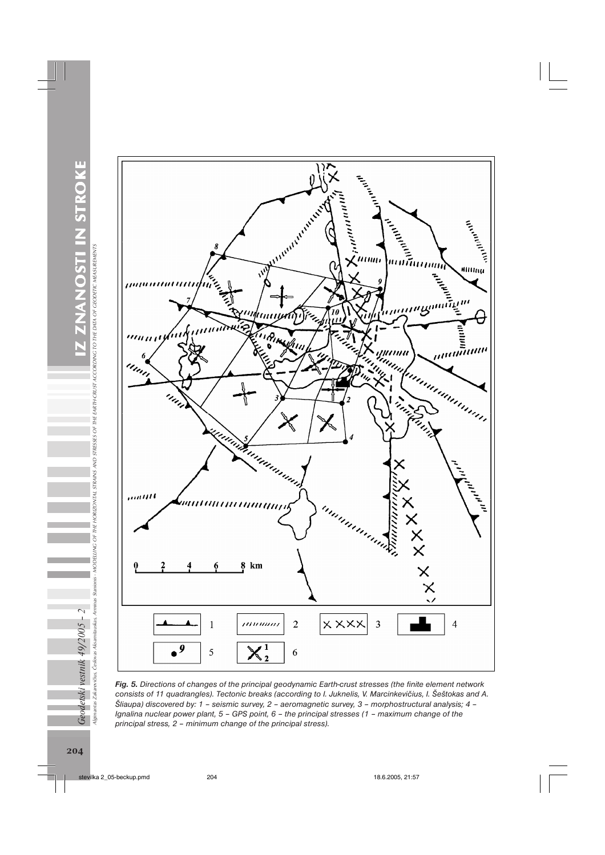RTH-CRUST ACCORDING TO THE DATA OF GEODETIC MEASUREMENTS



*Fig. 5. Directions of changes of the principal geodynamic Earth-crust stresses (the finite element network consists of 11 quadrangles). Tectonic breaks (according to I. Juknelis, V. Marcinkevičius, I. Šeštokas and A. Šliaupa) discovered by: 1 – seismic survey, 2 – aeromagnetic survey, 3 – morphostructural analysis; 4 – Ignalina nuclear power plant, 5 – GPS point, 6 – the principal stresses (1 – maximum change of the principal stress, 2 – minimum change of the principal stress).*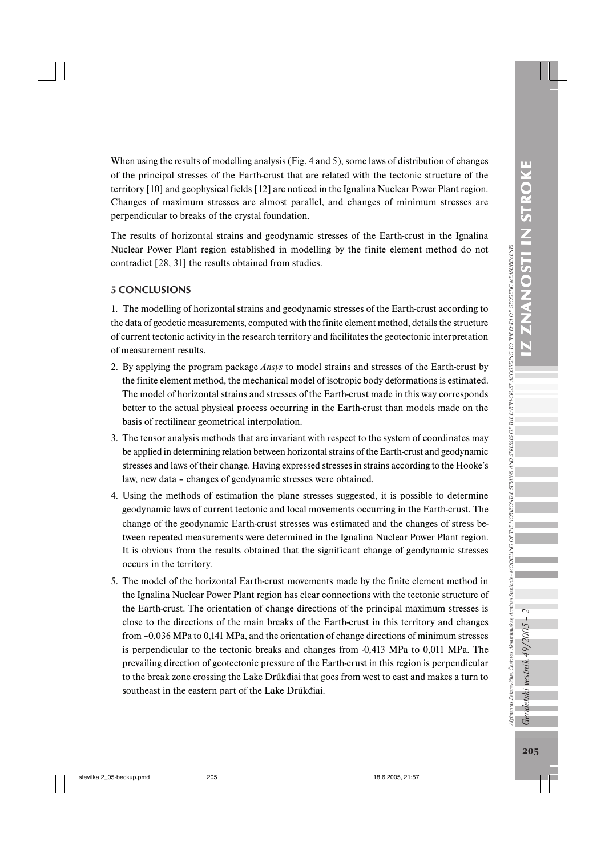Ilgimantas Zakarevičius, Česlovas Aksamitauskas, Arminas Stanionis

When using the results of modelling analysis (Fig. 4 and 5), some laws of distribution of changes of the principal stresses of the Earth-crust that are related with the tectonic structure of the territory [10] and geophysical fields [12] are noticed in the Ignalina Nuclear Power Plant region. Changes of maximum stresses are almost parallel, and changes of minimum stresses are perpendicular to breaks of the crystal foundation.

The results of horizontal strains and geodynamic stresses of the Earth-crust in the Ignalina Nuclear Power Plant region established in modelling by the finite element method do not contradict [28, 31] the results obtained from studies.

## 5 CONCLUSIONS

1. The modelling of horizontal strains and geodynamic stresses of the Earth-crust according to the data of geodetic measurements, computed with the finite element method, details the structure of current tectonic activity in the research territory and facilitates the geotectonic interpretation of measurement results.

- 2. By applying the program package *Ansys* to model strains and stresses of the Earth-crust by the finite element method, the mechanical model of isotropic body deformations is estimated. The model of horizontal strains and stresses of the Earth-crust made in this way corresponds better to the actual physical process occurring in the Earth-crust than models made on the basis of rectilinear geometrical interpolation.
- 3. The tensor analysis methods that are invariant with respect to the system of coordinates may be applied in determining relation between horizontal strains of the Earth-crust and geodynamic stresses and laws of their change. Having expressed stresses in strains according to the Hooke's law, new data – changes of geodynamic stresses were obtained.
- 4. Using the methods of estimation the plane stresses suggested, it is possible to determine geodynamic laws of current tectonic and local movements occurring in the Earth-crust. The change of the geodynamic Earth-crust stresses was estimated and the changes of stress between repeated measurements were determined in the Ignalina Nuclear Power Plant region. It is obvious from the results obtained that the significant change of geodynamic stresses occurs in the territory.
- 5. The model of the horizontal Earth-crust movements made by the finite element method in the Ignalina Nuclear Power Plant region has clear connections with the tectonic structure of the Earth-crust. The orientation of change directions of the principal maximum stresses is close to the directions of the main breaks of the Earth-crust in this territory and changes from –0,036 MPa to 0,141 MPa, and the orientation of change directions of minimum stresses is perpendicular to the tectonic breaks and changes from -0,413 MPa to 0,011 MPa. The prevailing direction of geotectonic pressure of the Earth-crust in this region is perpendicular to the break zone crossing the Lake Drűkđiai that goes from west to east and makes a turn to southeast in the eastern part of the Lake Drűkđiai.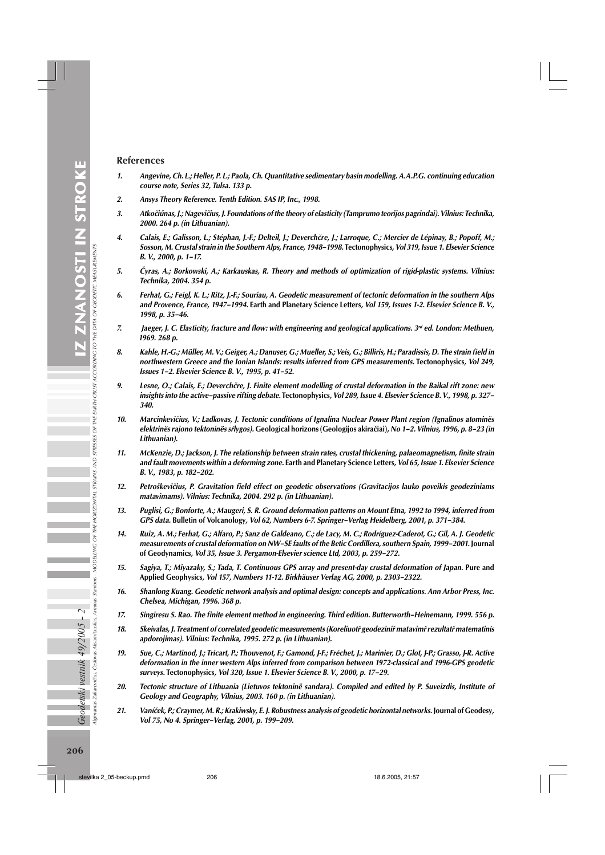#### References

- 1. Angevine, Ch. L.; Heller, P. L.; Paola, Ch. Quantitative sedimentary basin modelling. A.A.P.G. continuing education course note, Series 32, Tulsa. 133 p.
- 2. Ansys Theory Reference. Tenth Edition. SAS IP, Inc., 1998.
- 3. Atkočiűnas, J.; Nagevičius, J. Foundations of the theory of elasticity (Tamprumo teorijos pagrindai). Vilnius: Technika, 2000. 264 p. (in Lithuanian).
- 4. Calais, E.; Galisson, L.; Stéphan, J.-F.; Delteil, J.; Deverchčre, J.; Larroque, C.; Mercier de Lépinay, B.; Popoff, M.; Sosson, M. Crustal strain in the Southern Alps, France, 1948–1998. Tectonophysics, Vol 319, Issue 1. Elsevier Science B. V., 2000, p. 1–17.
- 5. Čyras, A.; Borkowski, A.; Karkauskas, R. Theory and methods of optimization of rigid-plastic systems. Vilnius: Technika, 2004. 354 p.
- 6. Ferhat, G.; Feigl, K. L.; Ritz, J.-F.; Souriau, A. Geodetic measurement of tectonic deformation in the southern Alps and Provence, France, 1947–1994. Earth and Planetary Science Letters, Vol 159, Issues 1-2. Elsevier Science B. V., 1998, p. 35–46.
- 7. Jaeger, J. C. Elasticity, fracture and flow: with engineering and geological applications.  $3<sup>rd</sup>$  ed. London: Methuen, 1969. 268 p.
- 8. Kahle, H.-G.; Müller, M. V.; Geiger, A.; Danuser, G.; Mueller, S.; Veis, G.; Billiris, H.; Paradissis, D. The strain field in northwestern Greece and the Ionian Islands: results inferred from GPS measurements. Tectonophysics, Vol 249, Issues 1–2. Elsevier Science B. V., 1995, p. 41–52.
- 9. Lesne, O.; Calais, E.; Deverchčre, J. Finite element modelling of crustal deformation in the Baikal rift zone: new insights into the active–passive rifting debate. Tectonophysics, Vol 289, Issue 4. Elsevier Science B. V., 1998, p. 327– 340.
- 10. Marcinkevičius, V.; Lađkovas, J. Tectonic conditions of Ignalina Nuclear Power Plant region (Ignalinos atominës elektrinës rajono tektoninës sŕlygos). Geological horizons (Geologijos akiračiai), No 1–2. Vilnius, 1996, p. 8–23 (in Lithuanian).
- 11. McKenzie, D.; Jackson, J. The relationship between strain rates, crustal thickening, palaeomagnetism, finite strain and fault movements within a deforming zone. Earth and Planetary Science Letters, Vol 65, Issue 1. Elsevier Science B. V., 1983, p. 182–202.
- 12. Petroškevičius, P. Gravitation field effect on geodetic observations (Gravitacijos lauko poveikis geodeziniams matavimams). Vilnius: Technika, 2004. 292 p. (in Lithuanian).
- 13. Puglisi, G.; Bonforte, A.; Maugeri, S. R. Ground deformation patterns on Mount Etna, 1992 to 1994, inferred from GPS data. Bulletin of Volcanology, Vol 62, Numbers 6-7. Springer–Verlag Heidelberg, 2001, p. 371–384.
- 14. Ruiz, A. M.; Ferhat, G.; Alfaro, P.; Sanz de Galdeano, C.; de Lacy, M. C.; Rodríguez-Caderot, G.; Gil, A. J. Geodetic measurements of crustal deformation on NW–SE faults of the Betic Cordillera, southern Spain, 1999–2001. Journal of Geodynamics, Vol 35, Issue 3. Pergamon-Elsevier science Ltd, 2003, p. 259–272.
- 15. Sagiya, T.; Miyazaky, S.; Tada, T. Continuous GPS array and present-day crustal deformation of Japan. Pure and Applied Geophysics, Vol 157, Numbers 11-12. Birkhäuser Verlag AG, 2000, p. 2303–2322.
- 16. Shanlong Kuang. Geodetic network analysis and optimal design: concepts and applications. Ann Arbor Press, Inc. Chelsea, Michigan, 1996. 368 p.
- 17. Singiresu S. Rao. The finite element method in engineering. Third edition. Butterworth–Heinemann, 1999. 556 p.
- 18. Skeivalas, J. Treatment of correlated geodetic measurements (Koreliuotř geodeziniř matavimř rezultatř matematinis apdorojimas). Vilnius: Technika, 1995. 272 p. (in Lithuanian).
- 19. Sue, C.; Martinod, J.; Tricart, P.; Thouvenot, F.; Gamond, J-F.; Fréchet, J.; Marinier, D.; Glot, J-P.; Grasso, J-R. Active deformation in the inner western Alps inferred from comparison between 1972-classical and 1996-GPS geodetic surveys. Tectonophysics, Vol 320, Issue 1. Elsevier Science B. V., 2000, p. 17–29.
- 20. Tectonic structure of Lithuania (Lietuvos tektoninë sandara). Compiled and edited by P. Suveizdis, Institute of Geology and Geography, Vilnius, 2003. 160 p. (in Lithuanian).
- 21. Vaníček, P.; Craymer, M. R.; Krakiwsky, E. J. Robustness analysis of geodetic horizontal networks. Journal of Geodesy, Vol 75, No 4. Springer–Verlag, 2001, p. 199–209.

Algimantas Zakarevičius, Česlovas Aksamitauskas, Arminas Stanionis - MODELLING OF THE HORIZONTAL STRAINS AND STRESSES OF THE EARTH-CRUST ACCORDING TO THE DATA OF GEODETIC MEASUREMENTS

Arminas Stanionis - MODELLING OF THE HORIZONTAL STRAINS AND STRESSES OF THE EARTH-CRUST ACCORDING TO THE DATA OF GEODETIC MEASURENT